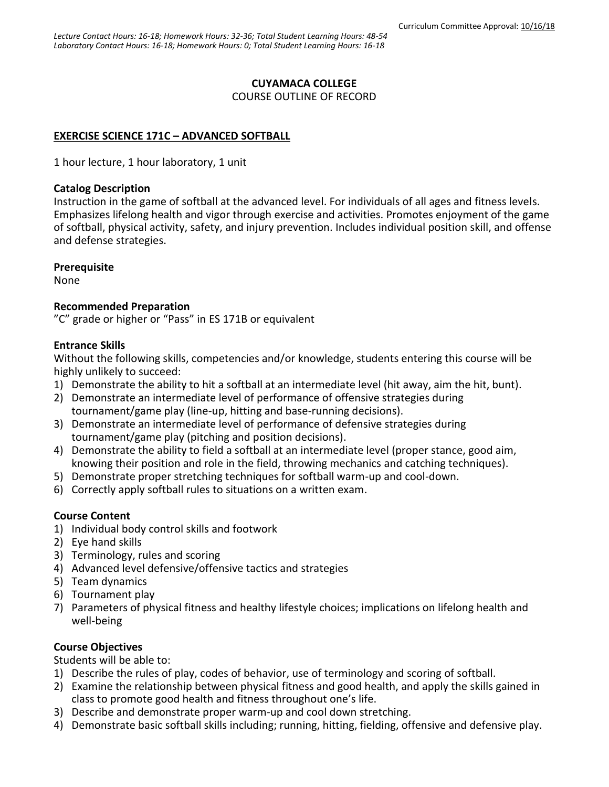### **CUYAMACA COLLEGE**

COURSE OUTLINE OF RECORD

### **EXERCISE SCIENCE 171C - ADVANCED SOFTBALL**

1 hour lecture, 1 hour laboratory, 1 unit

#### **Catalog Description**

Instruction in the game of softball at the advanced level. For individuals of all ages and fitness levels. Emphasizes lifelong health and vigor through exercise and activities. Promotes enjoyment of the game of softball, physical activity, safety, and injury prevention. Includes individual position skill, and offense and defense strategies.

### **Prerequisite**

None

### **Recommended Preparation**

"C" grade or higher or "Pass" in ES 171B or equivalent

### **Entrance Skills**

Without the following skills, competencies and/or knowledge, students entering this course will be highly unlikely to succeed:

- 1) Demonstrate the ability to hit a softball at an intermediate level (hit away, aim the hit, bunt).
- 2) Demonstrate an intermediate level of performance of offensive strategies during tournament/game play (line-up, hitting and base-running decisions).
- 3) Demonstrate an intermediate level of performance of defensive strategies during tournament/game play (pitching and position decisions).
- 4) Demonstrate the ability to field a softball at an intermediate level (proper stance, good aim, knowing their position and role in the field, throwing mechanics and catching techniques).
- 5) Demonstrate proper stretching techniques for softball warm-up and cool-down.
- 6) Correctly apply softball rules to situations on a written exam.

### **Course Content**

- 1) Individual body control skills and footwork
- 2) Eye hand skills
- 3) Terminology, rules and scoring
- 4) Advanced level defensive/offensive tactics and strategies
- 5) Team dynamics
- 6) Tournament play
- 7) Parameters of physical fitness and healthy lifestyle choices; implications on lifelong health and well-being

### **Course Objectives**

Students will be able to:

- 1) Describe the rules of play, codes of behavior, use of terminology and scoring of softball.
- 2) Examine the relationship between physical fitness and good health, and apply the skills gained in class to promote good health and fitness throughout one's life.
- 3) Describe and demonstrate proper warm-up and cool down stretching.
- 4) Demonstrate basic softball skills including; running, hitting, fielding, offensive and defensive play.